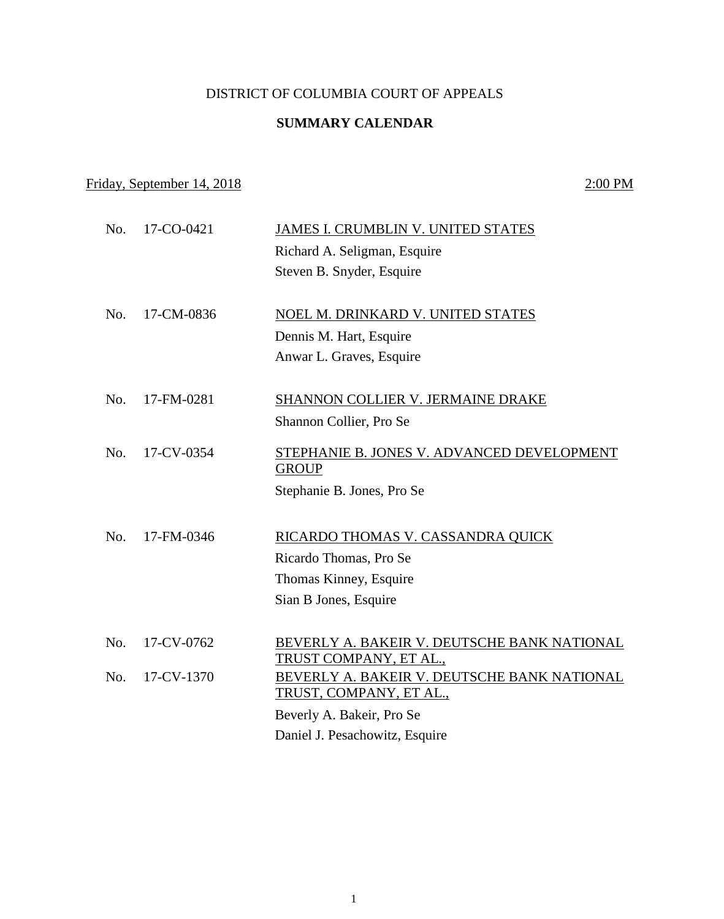## DISTRICT OF COLUMBIA COURT OF APPEALS

## **SUMMARY CALENDAR**

## Friday, September 14, 2018 2:00 PM

| No. | 17-CO-0421 | JAMES I. CRUMBLIN V. UNITED STATES                                    |
|-----|------------|-----------------------------------------------------------------------|
|     |            | Richard A. Seligman, Esquire                                          |
|     |            | Steven B. Snyder, Esquire                                             |
|     |            |                                                                       |
| No. | 17-CM-0836 | NOEL M. DRINKARD V. UNITED STATES                                     |
|     |            | Dennis M. Hart, Esquire                                               |
|     |            | Anwar L. Graves, Esquire                                              |
| No. | 17-FM-0281 | SHANNON COLLIER V. JERMAINE DRAKE                                     |
|     |            | Shannon Collier, Pro Se                                               |
|     |            |                                                                       |
| No. | 17-CV-0354 | STEPHANIE B. JONES V. ADVANCED DEVELOPMENT                            |
|     |            | <b>GROUP</b>                                                          |
|     |            | Stephanie B. Jones, Pro Se                                            |
|     |            |                                                                       |
| No. | 17-FM-0346 | RICARDO THOMAS V. CASSANDRA QUICK                                     |
|     |            | Ricardo Thomas, Pro Se                                                |
|     |            | Thomas Kinney, Esquire                                                |
|     |            | Sian B Jones, Esquire                                                 |
|     |            |                                                                       |
| No. | 17-CV-0762 | BEVERLY A. BAKEIR V. DEUTSCHE BANK NATIONAL<br>TRUST COMPANY, ET AL., |
| No. | 17-CV-1370 | BEVERLY A. BAKEIR V. DEUTSCHE BANK NATIONAL                           |
|     |            | TRUST, COMPANY, ET AL.,                                               |
|     |            | Beverly A. Bakeir, Pro Se                                             |
|     |            | Daniel J. Pesachowitz, Esquire                                        |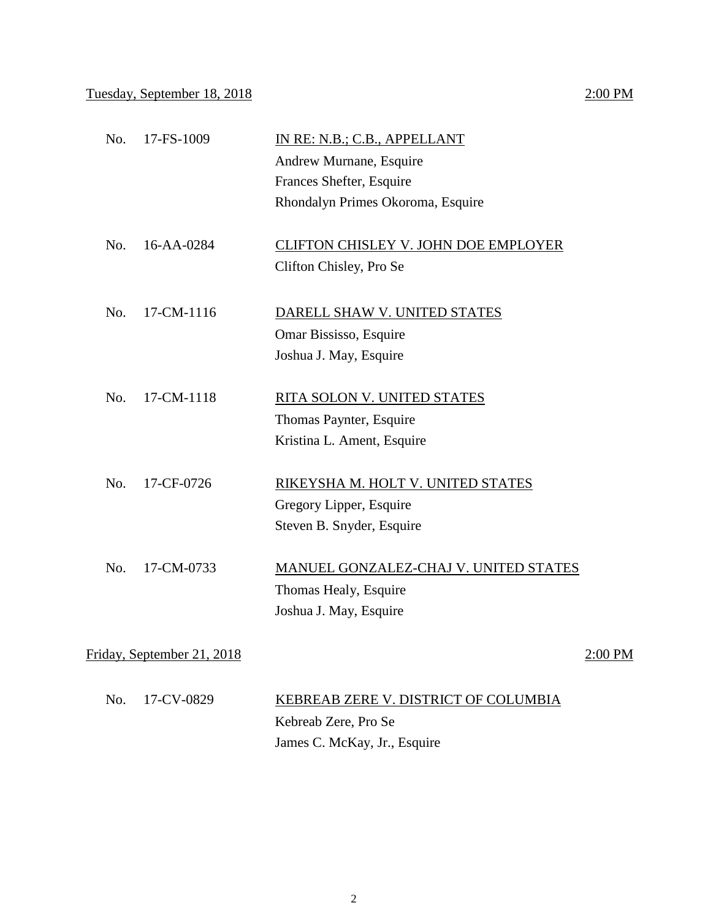| No.                        | 17-FS-1009       | IN RE: N.B.; C.B., APPELLANT<br>Andrew Murnane, Esquire<br>Frances Shefter, Esquire<br>Rhondalyn Primes Okoroma, Esquire |         |
|----------------------------|------------------|--------------------------------------------------------------------------------------------------------------------------|---------|
| No.                        | $16 - AA - 0284$ | <b>CLIFTON CHISLEY V. JOHN DOE EMPLOYER</b><br>Clifton Chisley, Pro Se                                                   |         |
| No.                        | 17-CM-1116       | DARELL SHAW V. UNITED STATES<br>Omar Bississo, Esquire<br>Joshua J. May, Esquire                                         |         |
| No.                        | 17-CM-1118       | RITA SOLON V. UNITED STATES<br>Thomas Paynter, Esquire<br>Kristina L. Ament, Esquire                                     |         |
| No.                        | 17-CF-0726       | RIKEYSHA M. HOLT V. UNITED STATES<br>Gregory Lipper, Esquire<br>Steven B. Snyder, Esquire                                |         |
| No.                        | 17-CM-0733       | MANUEL GONZALEZ-CHAJ V. UNITED STATES<br>Thomas Healy, Esquire<br>Joshua J. May, Esquire                                 |         |
| Friday, September 21, 2018 |                  |                                                                                                                          | 2:00 PM |

No. 17-CV-0829 KEBREAB ZERE V. DISTRICT OF COLUMBIA Kebreab Zere, Pro Se James C. McKay, Jr., Esquire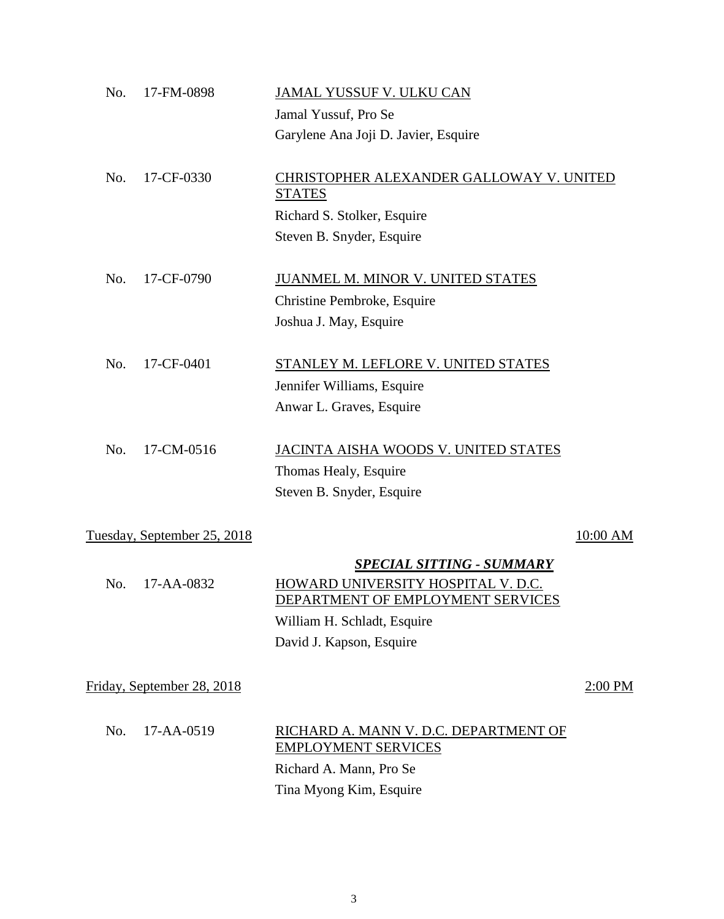| No. | 17-FM-0898                  | JAMAL YUSSUF V. ULKU CAN                                                                                    |          |
|-----|-----------------------------|-------------------------------------------------------------------------------------------------------------|----------|
|     |                             | Jamal Yussuf, Pro Se                                                                                        |          |
|     |                             | Garylene Ana Joji D. Javier, Esquire                                                                        |          |
| No. | 17-CF-0330                  | CHRISTOPHER ALEXANDER GALLOWAY V. UNITED<br><b>STATES</b>                                                   |          |
|     |                             | Richard S. Stolker, Esquire                                                                                 |          |
|     |                             | Steven B. Snyder, Esquire                                                                                   |          |
| No. | 17-CF-0790                  | JUANMEL M. MINOR V. UNITED STATES                                                                           |          |
|     |                             | Christine Pembroke, Esquire                                                                                 |          |
|     |                             | Joshua J. May, Esquire                                                                                      |          |
| No. | 17-CF-0401                  | STANLEY M. LEFLORE V. UNITED STATES                                                                         |          |
|     |                             | Jennifer Williams, Esquire                                                                                  |          |
|     |                             | Anwar L. Graves, Esquire                                                                                    |          |
| No. | 17-CM-0516                  | JACINTA AISHA WOODS V. UNITED STATES                                                                        |          |
|     |                             | Thomas Healy, Esquire                                                                                       |          |
|     |                             | Steven B. Snyder, Esquire                                                                                   |          |
|     | Tuesday, September 25, 2018 |                                                                                                             | 10:00 AM |
|     |                             |                                                                                                             |          |
| No. | 17-AA-0832                  | <b>SPECIAL SITTING - SUMMARY</b><br>HOWARD UNIVERSITY HOSPITAL V. D.C.<br>DEPARTMENT OF EMPLOYMENT SERVICES |          |
|     |                             | William H. Schladt, Esquire                                                                                 |          |
|     |                             | David J. Kapson, Esquire                                                                                    |          |
|     | Friday, September 28, 2018  |                                                                                                             | 2:00 PM  |
|     |                             |                                                                                                             |          |
| No. | 17-AA-0519                  | RICHARD A. MANN V. D.C. DEPARTMENT OF<br><b>EMPLOYMENT SERVICES</b>                                         |          |
|     |                             | Richard A. Mann, Pro Se                                                                                     |          |
|     |                             | Tina Myong Kim, Esquire                                                                                     |          |
|     |                             |                                                                                                             |          |